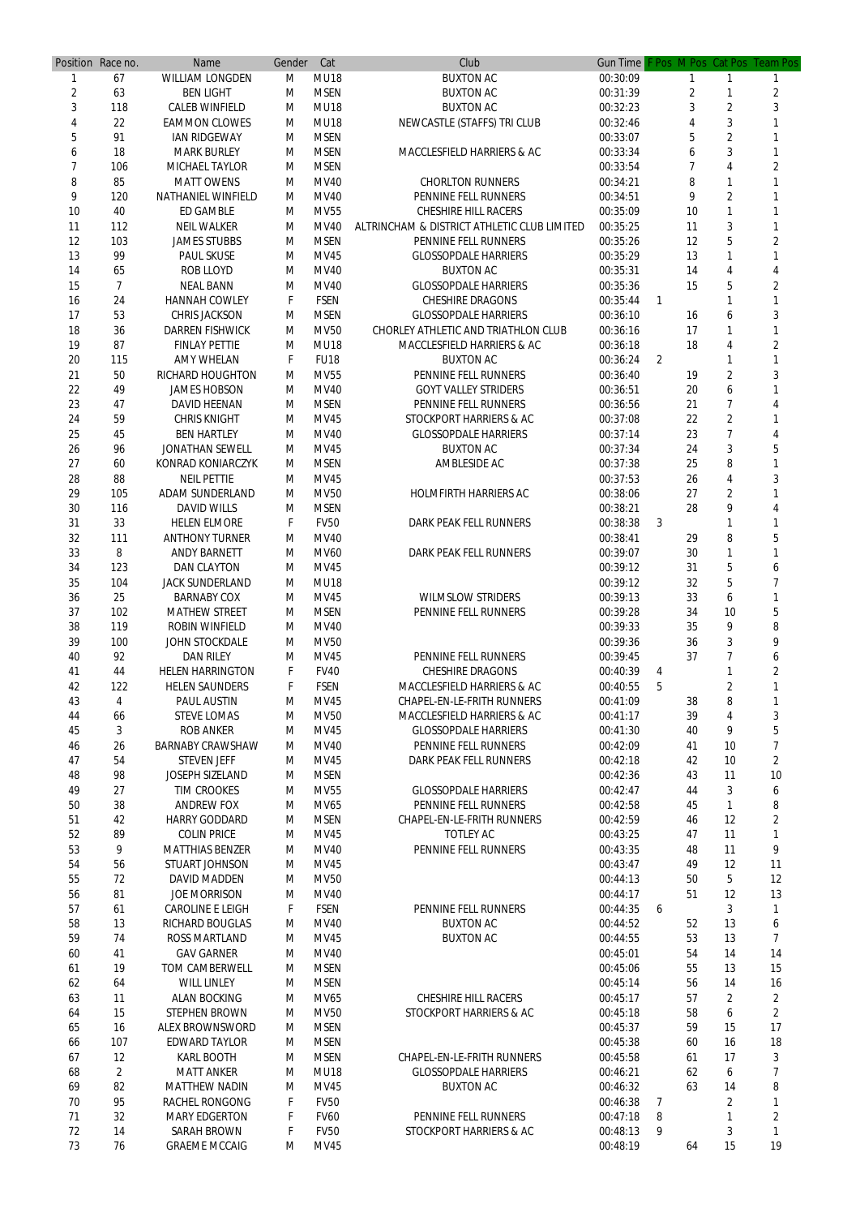|                | Position Race no. | <b>Name</b>               | Gender | Cat         | Club                                        | <b>Gun Time</b> |                |    |                | F Pos M Pos Cat Pos Team Pos |
|----------------|-------------------|---------------------------|--------|-------------|---------------------------------------------|-----------------|----------------|----|----------------|------------------------------|
|                | 67                | <b>WILLIAM LONGDEN</b>    | М      | <b>MU18</b> | <b>BUXTON AC</b>                            | 00:30:09        |                |    |                |                              |
| $\overline{2}$ | 63                | <b>BEN LIGHT</b>          | М      | <b>MSEN</b> | <b>BUXTON AC</b>                            | 00:31:39        |                | 2  |                | $\overline{2}$               |
| 3              | 118               | <b>CALEB WINFIELD</b>     | M      | <b>MU18</b> | <b>BUXTON AC</b>                            | 00:32:23        |                | 3  | $\overline{2}$ | 3                            |
| 4              | 22                | <b>EAMMON CLOWES</b>      | M      | <b>MU18</b> | NEWCASTLE (STAFFS) TRI CLUB                 | 00:32:46        |                | 4  | 3              |                              |
| 5              | 91                | <b>IAN RIDGEWAY</b>       | M      | <b>MSEN</b> |                                             | 00:33:07        |                | 5  | $\overline{2}$ |                              |
| 6              | 18                | <b>MARK BURLEY</b>        | M      | <b>MSEN</b> | <b>MACCLESFIELD HARRIERS &amp; AC</b>       | 00:33:34        |                | 6  | 3              |                              |
| 7              | 106               | <b>MICHAEL TAYLOR</b>     | M      | <b>MSEN</b> |                                             | 00:33:54        |                |    | 4              |                              |
| 8              | 85                | <b>MATT OWENS</b>         | M      | <b>MV40</b> | <b>CHORLTON RUNNERS</b>                     | 00:34:21        |                | 8  |                |                              |
| 9              | 120               | <b>NATHANIEL WINFIELD</b> | M      | <b>MV40</b> | PENNINE FELL RUNNERS                        | 00:34:51        |                | 9  | $\overline{2}$ |                              |
| 10             | 40                | <b>ED GAMBLE</b>          | M      | <b>MV55</b> | <b>CHESHIRE HILL RACERS</b>                 | 00:35:09        |                | 10 |                |                              |
| 11             | 112               | <b>NEIL WALKER</b>        | M      | <b>MV40</b> | ALTRINCHAM & DISTRICT ATHLETIC CLUB LIMITED | 00:35:25        |                | 11 | 3              |                              |
| 12             | 103               | <b>JAMES STUBBS</b>       | M      | <b>MSEN</b> | PENNINE FELL RUNNERS                        | 00:35:26        |                | 12 | 5              | 2                            |
| 13             | 99                | <b>PAUL SKUSE</b>         | M      | <b>MV45</b> | <b>GLOSSOPDALE HARRIERS</b>                 | 00:35:29        |                | 13 |                |                              |
| 14             | 65                | <b>ROB LLOYD</b>          | M      | <b>MV40</b> | <b>BUXTON AC</b>                            | 00:35:31        |                | 14 | 4              |                              |
| 15             | 7                 | <b>NEAL BANN</b>          | M      | <b>MV40</b> | <b>GLOSSOPDALE HARRIERS</b>                 | 00:35:36        |                | 15 | 5              | 2                            |
| 16             | 24                | <b>HANNAH COWLEY</b>      | F      | <b>FSEN</b> | <b>CHESHIRE DRAGONS</b>                     | 00:35:44        | -1             |    |                |                              |
| 17             | 53                | <b>CHRIS JACKSON</b>      | M      | <b>MSEN</b> | <b>GLOSSOPDALE HARRIERS</b>                 | 00:36:10        |                | 16 | 6              |                              |
| 18             | 36                | <b>DARREN FISHWICK</b>    | M      | <b>MV50</b> | <b>CHORLEY ATHLETIC AND TRIATHLON CLUB</b>  | 00:36:16        |                | 17 | 1              |                              |
| 19             | 87                | <b>FINLAY PETTIE</b>      | M      | <b>MU18</b> | <b>MACCLESFIELD HARRIERS &amp; AC</b>       | 00:36:18        |                | 18 | 4              | 2                            |
| 20             | 115               | <b>AMY WHELAN</b>         | F      | <b>FU18</b> | <b>BUXTON AC</b>                            | 00:36:24        | $\overline{2}$ |    |                |                              |
| 21             | 50                | <b>RICHARD HOUGHTON</b>   | М      | <b>MV55</b> | PENNINE FELL RUNNERS                        | 00:36:40        |                | 19 | $\overline{2}$ |                              |
| 22             | 49                | <b>JAMES HOBSON</b>       | M      | <b>MV40</b> | <b>GOYT VALLEY STRIDERS</b>                 | 00:36:51        |                | 20 | 6              |                              |
| 23             | 47                | <b>DAVID HEENAN</b>       | M      | <b>MSEN</b> | PENNINE FELL RUNNERS                        | 00:36:56        |                | 21 | 7              |                              |
| 24             | 59                | <b>CHRIS KNIGHT</b>       | M      | <b>MV45</b> | <b>STOCKPORT HARRIERS &amp; AC</b>          | 00:37:08        |                | 22 | $\overline{2}$ |                              |
| 25             | 45                | <b>BEN HARTLEY</b>        | M      | <b>MV40</b> | <b>GLOSSOPDALE HARRIERS</b>                 | 00:37:14        |                | 23 | $\overline{7}$ |                              |
| 26             | 96                | <b>JONATHAN SEWELL</b>    | M      | <b>MV45</b> | <b>BUXTON AC</b>                            | 00:37:34        |                | 24 | 3              |                              |
| 27             | 60                | <b>KONRAD KONIARCZYK</b>  | M      | <b>MSEN</b> | AMBLESIDE AC                                | 00:37:38        |                | 25 | 8              |                              |
| 28             | 88                | <b>NEIL PETTIE</b>        | M      | <b>MV45</b> |                                             | 00:37:53        |                | 26 | 4              |                              |
| 29             | 105               | <b>ADAM SUNDERLAND</b>    | M      | <b>MV50</b> | <b>HOLMFIRTH HARRIERS AC</b>                | 00:38:06        |                | 27 | $\overline{2}$ |                              |
| 30             | 116               | <b>DAVID WILLS</b>        | M      | <b>MSEN</b> |                                             | 00:38:21        |                | 28 | Q              |                              |
| 31             | 33                | <b>HELEN ELMORE</b>       | F      | <b>FV50</b> | <b>DARK PEAK FELL RUNNERS</b>               | 00:38:38        | 3              |    | 1              |                              |
| 32             | 111               | <b>ANTHONY TURNER</b>     | M      | <b>MV40</b> |                                             | 00:38:41        |                | 29 | 8              | 5                            |
| 33             | 8                 | <b>ANDY BARNETT</b>       | M      | <b>MV60</b> | <b>DARK PEAK FELL RUNNERS</b>               | 00:39:07        |                | 30 |                |                              |
| 34             | 123               | <b>DAN CLAYTON</b>        | M      | <b>MV45</b> |                                             | 00:39:12        |                | 31 | 5              | h                            |
| 35             | 104               | <b>JACK SUNDERLAND</b>    | M      | <b>MU18</b> |                                             | 00:39:12        |                | 32 | 5              |                              |
| 36             | 25                | <b>BARNABY COX</b>        | M      | <b>MV45</b> | <b>WILMSLOW STRIDERS</b>                    | 00:39:13        |                | 33 | 6              |                              |
| 37             | 102               | <b>MATHEW STREET</b>      | M      | <b>MSEN</b> | PENNINE FELL RUNNERS                        | 00:39:28        |                | 34 | 10             | 5                            |
| 38             | 119               | <b>ROBIN WINFIELD</b>     | M      | <b>MV40</b> |                                             | 00:39:33        |                | 35 | 9              | 8                            |
| 39             | 100               | <b>JOHN STOCKDALE</b>     | M      | <b>MV50</b> |                                             | 00:39:36        |                | 36 | 3              | 9                            |
| 40             | 92                | <b>DAN RILEY</b>          | M      | <b>MV45</b> | PENNINE FELL RUNNERS                        | 00:39:45        |                | 37 | 7              | 6                            |
| 41             | 44                | <b>HELEN HARRINGTON</b>   | F      | <b>FV40</b> | <b>CHESHIRE DRAGONS</b>                     | 00:40:39        | 4              |    |                | 2                            |
| 42             | 122               | <b>HELEN SAUNDERS</b>     | F.     | <b>FSEN</b> | <b>MACCLESFIELD HARRIERS &amp; AC</b>       | 00:40:55        | 5              |    | $\overline{2}$ |                              |
| 43             | 4                 | <b>PAUL AUSTIN</b>        | M      | <b>MV45</b> | <b>CHAPEL-EN-LE-FRITH RUNNERS</b>           | 00:41:09        |                | 38 | 8              |                              |
| 44             | 66                | <b>STEVE LOMAS</b>        | M      | <b>MV50</b> | <b>MACCLESFIELD HARRIERS &amp; AC</b>       | 00:41:17        |                | 39 | 4              | 3                            |
| 45             | 3                 | <b>ROB ANKER</b>          | M      | <b>MV45</b> | <b>GLOSSOPDALE HARRIERS</b>                 | 00:41:30        |                | 40 | 9              | 5                            |
| 46             | 26                | <b>BARNABY CRAWSHAW</b>   | M      | <b>MV40</b> | PENNINE FELL RUNNERS                        | 00:42:09        |                | 41 | 10             | 7                            |
| 47             | 54                | <b>STEVEN JEFF</b>        | M      | <b>MV45</b> | <b>DARK PEAK FELL RUNNERS</b>               | 00:42:18        |                | 42 | 10             | $\overline{2}$               |
| 48             | 98                | <b>JOSEPH SIZELAND</b>    | M      | <b>MSEN</b> |                                             | 00:42:36        |                | 43 | 11             | 10                           |
| 49             | 27                | <b>TIM CROOKES</b>        | M      | <b>MV55</b> | <b>GLOSSOPDALE HARRIERS</b>                 | 00:42:47        |                | 44 | 3              | 6                            |
| 50             | 38                | <b>ANDREW FOX</b>         | M      | MV65        | PENNINE FELL RUNNERS                        | 00:42:58        |                | 45 | 1              | 8                            |
| 51             | 42                | <b>HARRY GODDARD</b>      | M      | <b>MSEN</b> | <b>CHAPEL-EN-LE-FRITH RUNNERS</b>           | 00:42:59        |                | 46 | 12             | $\overline{2}$               |
| 52             | 89                | <b>COLIN PRICE</b>        | M      | <b>MV45</b> | <b>TOTLEY AC</b>                            | 00:43:25        |                | 47 | 11             |                              |
| 53             | 9                 | <b>MATTHIAS BENZER</b>    | M      | <b>MV40</b> | PENNINE FELL RUNNERS                        | 00:43:35        |                | 48 | 11             | 9                            |
| 54             | 56                | <b>STUART JOHNSON</b>     | M      | <b>MV45</b> |                                             | 00:43:47        |                | 49 | 12             | 11                           |
| 55             | 72                | <b>DAVID MADDEN</b>       | M      | <b>MV50</b> |                                             | 00:44:13        |                | 50 | 5              | 12                           |
| 56             | 81                | <b>JOE MORRISON</b>       | M      | <b>MV40</b> |                                             | 00:44:17        |                | 51 | 12             | 13                           |
| 57             | 61                | <b>CAROLINE E LEIGH</b>   | F      | <b>FSEN</b> | PENNINE FELL RUNNERS                        | 00:44:35        | 6              |    | 3              | 1                            |
| 58             | 13                | <b>RICHARD BOUGLAS</b>    | M      | <b>MV40</b> | <b>BUXTON AC</b>                            | 00:44:52        |                | 52 | 13             | 6                            |
| 59             | 74                | <b>ROSS MARTLAND</b>      | M      | <b>MV45</b> | <b>BUXTON AC</b>                            | 00:44:55        |                | 53 | 13             | 7                            |
| 60             | 41                | <b>GAV GARNER</b>         | M      | <b>MV40</b> |                                             | 00:45:01        |                | 54 | 14             | 14                           |
| 61             | 19                | <b>TOM CAMBERWELL</b>     | м      | <b>MSEN</b> |                                             | 00:45:06        |                | 55 | 13             | 15                           |
| 62             | 64                | <b>WILL LINLEY</b>        | M      | <b>MSEN</b> |                                             | 00:45:14        |                | 56 | 14             | 16                           |
| 63             | 11                | <b>ALAN BOCKING</b>       | M      | <b>MV65</b> | <b>CHESHIRE HILL RACERS</b>                 | 00:45:17        |                | 57 | $\overline{2}$ | 2                            |
| 64             | 15                | <b>STEPHEN BROWN</b>      | M      | <b>MV50</b> | <b>STOCKPORT HARRIERS &amp; AC</b>          | 00:45:18        |                | 58 | 6              | 2                            |
| 65             | 16                | <b>ALEX BROWNSWORD</b>    | M      | <b>MSEN</b> |                                             | 00:45:37        |                | 59 | 15             | 17                           |
| 66             | 107               | <b>EDWARD TAYLOR</b>      | M      | <b>MSEN</b> |                                             | 00:45:38        |                | 60 | 16             | 18                           |
| 67             | 12                | <b>KARL BOOTH</b>         | M      | <b>MSEN</b> | <b>CHAPEL-EN-LE-FRITH RUNNERS</b>           | 00:45:58        |                | 61 | 17             | 3                            |
| 68             | $\overline{2}$    | <b>MATT ANKER</b>         | M      | <b>MU18</b> | <b>GLOSSOPDALE HARRIERS</b>                 | 00:46:21        |                | 62 | 6              |                              |
| 69             | 82                | <b>MATTHEW NADIN</b>      | M      | <b>MV45</b> | <b>BUXTON AC</b>                            | 00:46:32        |                | 63 | 14             | 8                            |
| 70             | 95                | <b>RACHEL RONGONG</b>     | F      | <b>FV50</b> |                                             | 00:46:38        | 7              |    | 2              |                              |
| 71             | 32                | <b>MARY EDGERTON</b>      | F      | <b>FV60</b> | PENNINE FELL RUNNERS                        | 00:47:18        | 8              |    |                | $\overline{2}$               |
| 72             | 14                | <b>SARAH BROWN</b>        |        | <b>FV50</b> | STOCKPORT HARRIERS & AC                     | 00:48:13        | 9              |    | 3              |                              |
| 73             | 76                | <b>GRAEME MCCAIG</b>      | M      | <b>MV45</b> |                                             | 00:48:19        |                | 64 | 15             | 19                           |